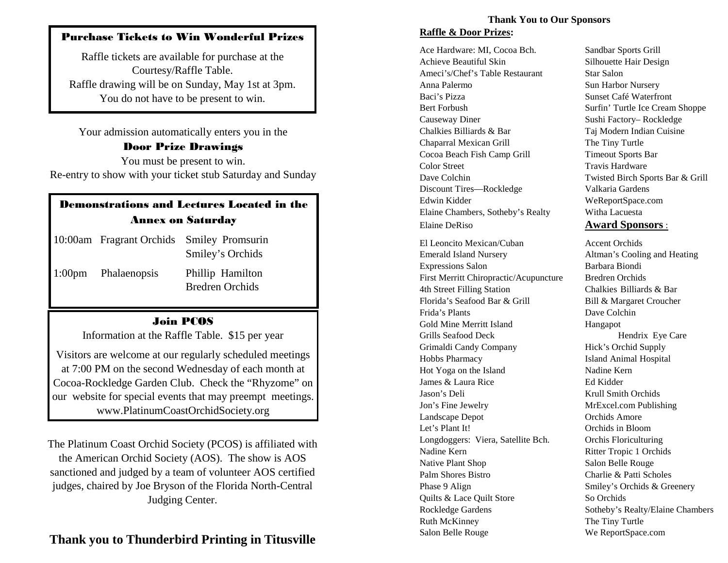## Purchase Tickets to Win Wonderful Prizes

Raffle tickets are available for purchase at the Courtesy/Raffle Table. Raffle drawing will be on Sunday, May 1st at 3pm. You do not have to be present to win.

Your admission automatically enters you in the

#### Door Prize Drawings

You must be present to win. Re-entry to show with your ticket stub Saturday and Sunday

# Demonstrations and Lectures Located in the Annex on Saturday

|                     | 10:00am Fragrant Orchids Smiley Promsurin<br>Smiley's Orchids |
|---------------------|---------------------------------------------------------------|
| 1:00pm Phalaenopsis | Phillip Hamilton<br><b>Bredren Orchids</b>                    |

### Join PCOS

Information at the Raffle Table. \$15 per year

Visitors are welcome at our regularly scheduled meetings at 7:00 PM on the second Wednesday of each month at Cocoa-Rockledge Garden Club. Check the "Rhyzome" on our website for special events that may preempt meetings. www.PlatinumCoastOrchidSociety.org

The Platinum Coast Orchid Society (PCOS) is affiliated with the American Orchid Society (AOS). The show is AOS sanctioned and judged by a team of volunteer AOS certified judges, chaired by Joe Bryson of the Florida North-Central Judging Center.

# **Thank you to Thunderbird Printing in Titusville**

#### **Thank You to Our Sponsors Raffle & Door Prizes:**

Ace Hardware: MI, Cocoa Bch. Sandbar Sports Grill Achieve Beautiful Skin Silhouette Hair Design Ameci's/Chef's Table Restaurant Star Salon Anna Palermo Sun Harbor Nursery Baci's Pizza Sunset Café Waterfront Bert Forbush Surfin' Turtle Ice Cream Shoppe Causeway Diner Sushi Factory– Rockledge Chalkies Billiards & Bar Taj Modern Indian Cuisine Chaparral Mexican Grill The Tiny Turtle Cocoa Beach Fish Camp Grill Timeout Sports Bar Color Street Travis Hardware Dave Colchin Twisted Birch Sports Bar & Grill Discount Tires—Rockledge Valkaria Gardens Edwin Kidder WeReportSpace.com Elaine Chambers, Sotheby's Realty Witha Lacuesta Elaine DeRiso **Award Sponsors** :

El Leoncito Mexican/Cuban Accent Orchids Emerald Island Nursery Altman's Cooling and Heating Expressions Salon Barbara Biondi First Merritt Chiropractic/Acupuncture Bredren Orchids 4th Street Filling Station Chalkies Billiards & Bar Florida's Seafood Bar & Grill Bill & Margaret Croucher Frida's Plants Dave Colchin Gold Mine Merritt Island Hangapot Grills Seafood Deck Hendrix Eye Care Grimaldi Candy Company Hick's Orchid Supply Hobbs Pharmacy Island Animal Hospital Hot Yoga on the Island Nadine Kern James & Laura Rice Ed Kidder Jason's Deli Krull Smith Orchids Jon's Fine Jewelry MrExcel.com Publishing Landscape Depot Orchids Amore Let's Plant It! Orchids in Bloom Longdoggers: Viera, Satellite Bch. Orchis Floriculturing Nadine Kern Ritter Tropic 1 Orchids Native Plant Shop Salon Belle Rouge Palm Shores Bistro Charlie & Patti Scholes Phase 9 Align Smiley's Orchids & Greenery Quilts & Lace Quilt Store So Orchids Rockledge Gardens Sotheby's Realty/Elaine Chambers Ruth McKinney The Tiny Turtle Salon Belle Rouge We ReportSpace.com